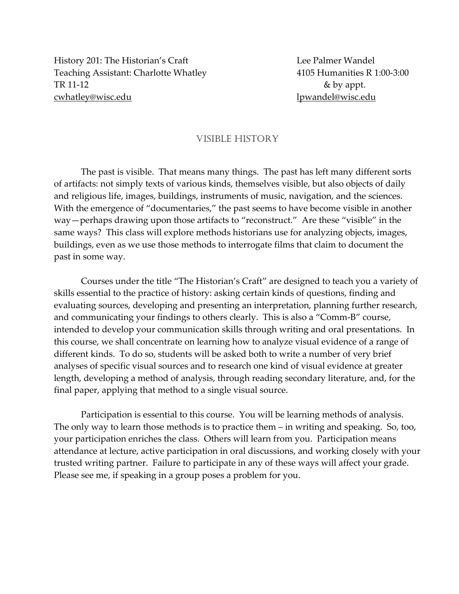History 201: The Historian's Craft **Lee Palmer Wandel** Teaching Assistant: Charlotte Whatley 4105 Humanities R 1:00‐3:00 TR 11-12 & by appt. cwhatley@wisc.edu lpwandel@wisc.edu

#### VISIBLE HISTORY

The past is visible. That means many things. The past has left many different sorts of artifacts: not simply texts of various kinds, themselves visible, but also objects of daily and religious life, images, buildings, instruments of music, navigation, and the sciences. With the emergence of "documentaries," the past seems to have become visible in another way—perhaps drawing upon those artifacts to "reconstruct." Are these "visible" in the same ways? This class will explore methods historians use for analyzing objects, images, buildings, even as we use those methods to interrogate films that claim to document the past in some way.

Courses under the title "The Historian's Craft" are designed to teach you a variety of skills essential to the practice of history: asking certain kinds of questions, finding and evaluating sources, developing and presenting an interpretation, planning further research, and communicating your findings to others clearly. This is also a "Comm‐B" course, intended to develop your communication skills through writing and oral presentations. In this course, we shall concentrate on learning how to analyze visual evidence of a range of different kinds. To do so, students will be asked both to write a number of very brief analyses of specific visual sources and to research one kind of visual evidence at greater length, developing a method of analysis, through reading secondary literature, and, for the final paper, applying that method to a single visual source.

Participation is essential to this course. You will be learning methods of analysis. The only way to learn those methods is to practice them – in writing and speaking. So, too, your participation enriches the class. Others will learn from you. Participation means attendance at lecture, active participation in oral discussions, and working closely with your trusted writing partner. Failure to participate in any of these ways will affect your grade. Please see me, if speaking in a group poses a problem for you.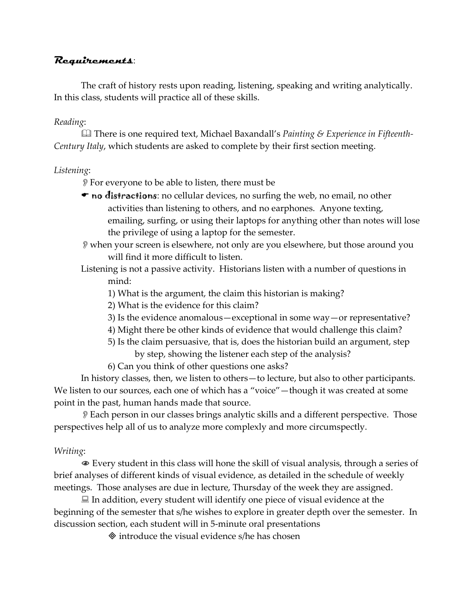## **Requirements**:

The craft of history rests upon reading, listening, speaking and writing analytically. In this class, students will practice all of these skills.

## *Reading*:

 There is one required text, Michael Baxandall's *Painting & Experience in Fifteenth‐ Century Italy*, which students are asked to complete by their first section meeting.

#### *Listening*:

- For everyone to be able to listen, there must be
- $\bullet$  no distractions: no cellular devices, no surfing the web, no email, no other activities than listening to others, and no earphones. Anyone texting, emailing, surfing, or using their laptops for anything other than notes will lose the privilege of using a laptop for the semester.
- when your screen is elsewhere, not only are you elsewhere, but those around you will find it more difficult to listen.
- Listening is not a passive activity. Historians listen with a number of questions in mind:
	- 1) What is the argument, the claim this historian is making?
	- 2) What is the evidence for this claim?
	- 3) Is the evidence anomalous—exceptional in some way—or representative?
	- 4) Might there be other kinds of evidence that would challenge this claim?
	- 5) Is the claim persuasive, that is, does the historian build an argument, step by step, showing the listener each step of the analysis?
	- 6) Can you think of other questions one asks?

In history classes, then, we listen to others—to lecture, but also to other participants. We listen to our sources, each one of which has a "voice"—though it was created at some point in the past, human hands made that source.

Each person in our classes brings analytic skills and a different perspective. Those perspectives help all of us to analyze more complexly and more circumspectly.

#### *Writing*:

 Every student in this class will hone the skill of visual analysis, through a series of brief analyses of different kinds of visual evidence, as detailed in the schedule of weekly meetings. Those analyses are due in lecture, Thursday of the week they are assigned.

 $\Box$  In addition, every student will identify one piece of visual evidence at the beginning of the semester that s/he wishes to explore in greater depth over the semester. In discussion section, each student will in 5‐minute oral presentations

 $\Diamond$  introduce the visual evidence s/he has chosen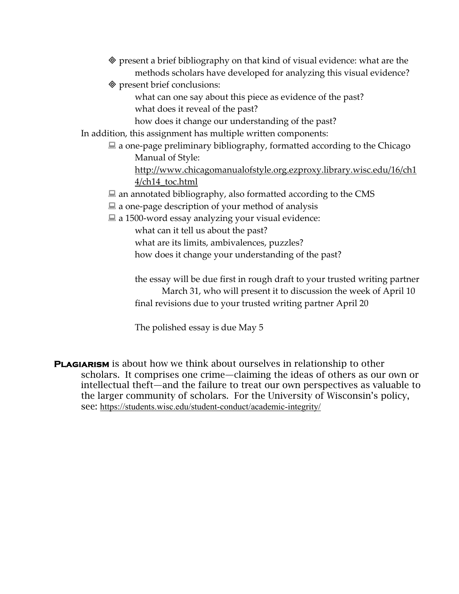| ◈ present a brief bibliography on that kind of visual evidence: what are the                                                                                                                                   |
|----------------------------------------------------------------------------------------------------------------------------------------------------------------------------------------------------------------|
| methods scholars have developed for analyzing this visual evidence?                                                                                                                                            |
| ♦ present brief conclusions:                                                                                                                                                                                   |
| what can one say about this piece as evidence of the past?                                                                                                                                                     |
| what does it reveal of the past?                                                                                                                                                                               |
| how does it change our understanding of the past?                                                                                                                                                              |
| In addition, this assignment has multiple written components:                                                                                                                                                  |
| $\Box$ a one-page preliminary bibliography, formatted according to the Chicago                                                                                                                                 |
| Manual of Style:                                                                                                                                                                                               |
| http://www.chicagomanualofstyle.org.ezproxy.library.wisc.edu/16/ch1                                                                                                                                            |
| 4/ch14_toc.html                                                                                                                                                                                                |
| $\blacksquare$ an annotated bibliography, also formatted according to the CMS                                                                                                                                  |
| $\Xi$ a one-page description of your method of analysis                                                                                                                                                        |
| $\Xi$ a 1500-word essay analyzing your visual evidence:                                                                                                                                                        |
| what can it tell us about the past?                                                                                                                                                                            |
| what are its limits, ambivalences, puzzles?                                                                                                                                                                    |
| how does it change your understanding of the past?                                                                                                                                                             |
| the essay will be due first in rough draft to your trusted writing partner<br>March 31, who will present it to discussion the week of April 10<br>final revisions due to your trusted writing partner April 20 |
| The polished essay is due May 5                                                                                                                                                                                |

**PLAGIARISM** is about how we think about ourselves in relationship to other scholars. It comprises one crime—claiming the ideas of others as our own or intellectual theft—and the failure to treat our own perspectives as valuable to the larger community of scholars. For the University of Wisconsin's policy, see: https://students.wisc.edu/student-conduct/academic-integrity/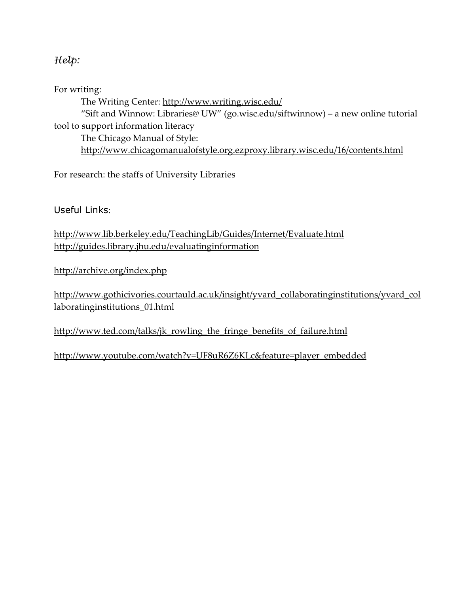# *Help:*

For writing:

The Writing Center: http://www.writing.wisc.edu/ "Sift and Winnow: Libraries@ UW" (go.wisc.edu/siftwinnow) – a new online tutorial tool to support information literacy The Chicago Manual of Style: http://www.chicagomanualofstyle.org.ezproxy.library.wisc.edu/16/contents.html

For research: the staffs of University Libraries

Useful Links:

http://www.lib.berkeley.edu/TeachingLib/Guides/Internet/Evaluate.html http://guides.library.jhu.edu/evaluatinginformation

http://archive.org/index.php

http://www.gothicivories.courtauld.ac.uk/insight/yvard\_collaboratinginstitutions/yvard\_col laboratinginstitutions\_01.html

http://www.ted.com/talks/jk\_rowling\_the\_fringe\_benefits\_of\_failure.html

http://www.youtube.com/watch?v=UF8uR6Z6KLc&feature=player\_embedded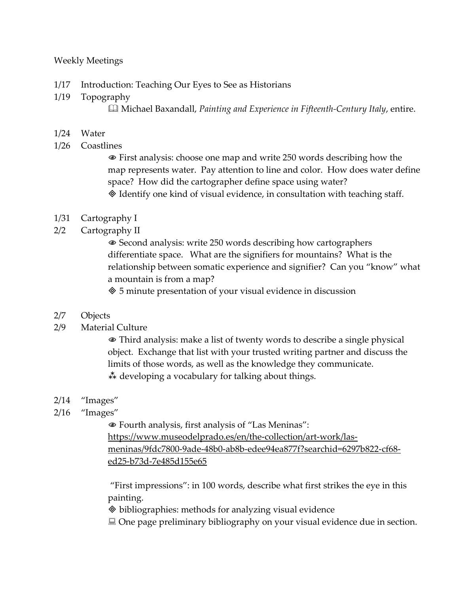#### Weekly Meetings

- 1/17 Introduction: Teaching Our Eyes to See as Historians
- 1/19 Topography Michael Baxandall, *Painting and Experience in Fifteenth‐Century Italy*, entire.

#### 1/24 Water

1/26 Coastlines

 First analysis: choose one map and write 250 words describing how the map represents water. Pay attention to line and color. How does water define space? How did the cartographer define space using water? Identify one kind of visual evidence, in consultation with teaching staff.

- 1/31 Cartography I
- 2/2 Cartography II

 Second analysis: write 250 words describing how cartographers differentiate space. What are the signifiers for mountains? What is the relationship between somatic experience and signifier? Can you "know" what a mountain is from a map?

5 minute presentation of your visual evidence in discussion

## 2/7 Objects

2/9 Material Culture

 Third analysis: make a list of twenty words to describe a single physical object. Exchange that list with your trusted writing partner and discuss the limits of those words, as well as the knowledge they communicate.  $\stackrel{*}{\ast}$  developing a vocabulary for talking about things.

- 2/14 "Images"
- 2/16 "Images"

 Fourth analysis, first analysis of "Las Meninas": https://www.museodelprado.es/en/the-collection/art-work/lasmeninas/9fdc7800‐9ade‐48b0‐ab8b‐edee94ea877f?searchid=6297b822‐cf68‐ ed25‐b73d‐7e485d155e65

"First impressions": in 100 words, describe what first strikes the eye in this painting.

bibliographies: methods for analyzing visual evidence

■ One page preliminary bibliography on your visual evidence due in section.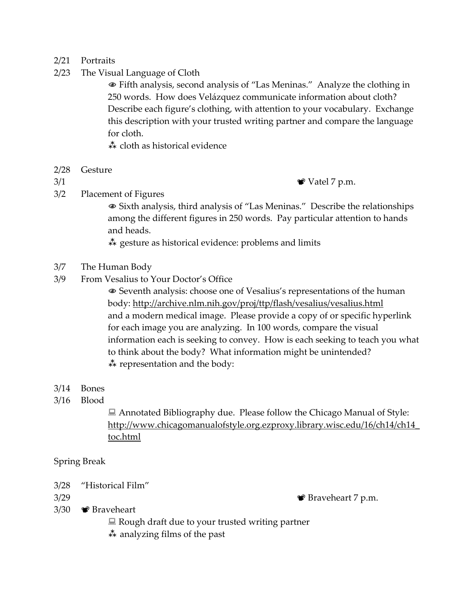#### 2/21 Portraits

2/23 The Visual Language of Cloth

 Fifth analysis, second analysis of "Las Meninas." Analyze the clothing in 250 words. How does Velázquez communicate information about cloth? Describe each figure's clothing, with attention to your vocabulary. Exchange this description with your trusted writing partner and compare the language for cloth.

cloth as historical evidence

2/28 Gesture

3/1 Vatel 7 p.m.

3/2 Placement of Figures

 Sixth analysis, third analysis of "Las Meninas." Describe the relationships among the different figures in 250 words. Pay particular attention to hands and heads.

 $\stackrel{*}{\ast}$  gesture as historical evidence: problems and limits

- 3/7 The Human Body
- 3/9 From Vesalius to Your Doctor's Office

 Seventh analysis: choose one of Vesalius's representations of the human body: http://archive.nlm.nih.gov/proj/ttp/flash/vesalius/vesalius.html and a modern medical image. Please provide a copy of or specific hyperlink for each image you are analyzing. In 100 words, compare the visual information each is seeking to convey. How is each seeking to teach you what to think about the body? What information might be unintended?  $\stackrel{*}{\ast}$  representation and the body:

- 3/14 Bones
- 3/16 Blood

 Annotated Bibliography due. Please follow the Chicago Manual of Style: http://www.chicagomanualofstyle.org.ezproxy.library.wisc.edu/16/ch14/ch14\_ toc.html

Spring Break

3/28 "Historical Film"

 $3/29$  Braveheart 7 p.m.

- 3/30 Braveheart
	- $\blacksquare$  Rough draft due to your trusted writing partner
	- $\stackrel{*}{\ast}$  analyzing films of the past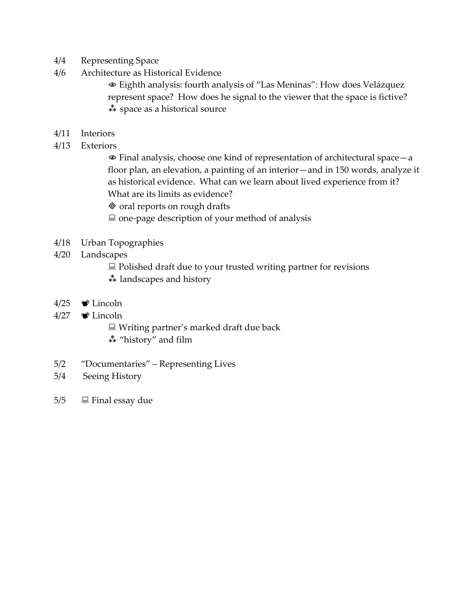- 4/4 Representing Space
- 4/6 Architecture as Historical Evidence

 Eighth analysis: fourth analysis of "Las Meninas": How does Velázquez represent space? How does he signal to the viewer that the space is fictive?  $**$  space as a historical source

- 4/11 Interiors
- 4/13 Exteriors

 Final analysis, choose one kind of representation of architectural space—a floor plan, an elevation, a painting of an interior—and in 150 words, analyze it as historical evidence. What can we learn about lived experience from it? What are its limits as evidence?

 $\otimes$  oral reports on rough drafts

 $\blacksquare$  one-page description of your method of analysis

- 4/18 Urban Topographies
- 4/20 Landscapes

 $\Box$  Polished draft due to your trusted writing partner for revisions  $\stackrel{*}{\ast}$  landscapes and history

- 4/25  $\bullet$  Lincoln
- $4/27$   $\bullet$  Lincoln

■ Writing partner's marked draft due back

- "history" and film
- 5/2 "Documentaries" Representing Lives
- 5/4 Seeing History
- $5/5$   $\Box$  Final essay due